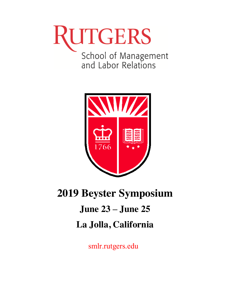# RUTGERS School of Management<br>and Labor Relations



# **2019 Beyster Symposium June 23 – June 25 La Jolla, California**

smlr.rutgers.edu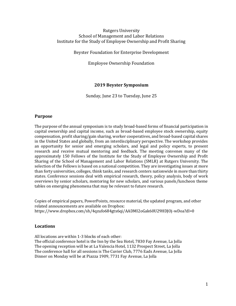#### Rutgers University School of Management and Labor Relations Institute for the Study of Employee Ownership and Profit Sharing

Beyster Foundation for Enterprise Development

Employee Ownership Foundation

#### **2019 Beyster Symposium**

Sunday, June 23 to Tuesday, June 25

#### **Purpose**

The purpose of the annual symposium is to study broad-based forms of financial participation in capital ownership and capital income, such as broad-based employee stock ownership, equity compensation, profit sharing/gain sharing, worker cooperatives, and broad-based capital shares in the United States and globally, from an interdisciplinary perspective. The workshop provides an opportunity for senior and emerging scholars, and legal and policy experts, to present research and receive mutual mentoring and feedback. The meeting convenes many of the approximately 150 Fellows of the Institute for the Study of Employee Ownership and Profit Sharing of the School of Management and Labor Relations (SMLR) at Rutgers University. The selection of the Fellows is based on a national competition. They are investigating issues at more than forty universities, colleges, think tanks, and research centers nationwide in more than thirty states. Conference sessions deal with empirical research, theory, policy analysis, body of work overviews by senior scholars, mentoring for new scholars, and various panels/luncheon theme tables on emerging phenomena that may be relevant to future research.

Copies of empirical papers, PowerPoints, resource material, the updated program, and other related announcements are available on Dropbox: https://www.dropbox.com/sh/4qzufo684gtx6qi/AADMI2oGak60U29HDJOj-wDoa?dl=0

#### **Locations**

All locations are within 1-3 blocks of each other: The official conference hotel is the Inn by the Sea Hotel, 7830 Fay Avenue, La Jolla The opening reception will be at La Valencia Hotel, 1132 Prospect Street, La Jolla The conference hall for all sessions is The Cuvier Club, 7776 Eads Avenue, La Jolla Dinner on Monday will be at Piazza 1909, 7731 Fay Avenue, La Jolla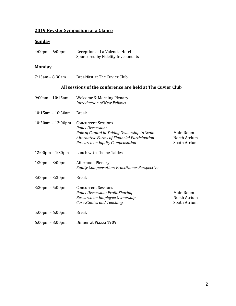# **2019 Beyster Symposium at a Glance**

# **Sunday**

| $4:00 \text{pm} - 6:00 \text{pm}$  | Reception at La Valencia Hotel<br>Sponsored by Fidelity Investments                                                                                                                              |                                           |
|------------------------------------|--------------------------------------------------------------------------------------------------------------------------------------------------------------------------------------------------|-------------------------------------------|
| <b>Monday</b>                      |                                                                                                                                                                                                  |                                           |
| $7:15$ am - 8:30am                 | <b>Breakfast at The Cuvier Club</b>                                                                                                                                                              |                                           |
|                                    | All sessions of the conference are held at The Cuvier Club                                                                                                                                       |                                           |
| $9:00$ am - 10:15am                | <b>Welcome &amp; Morning Plenary</b><br><b>Introduction of New Fellows</b>                                                                                                                       |                                           |
| $10:15$ am - $10:30$ am            | <b>Break</b>                                                                                                                                                                                     |                                           |
| $10:30$ am - $12:00$ pm            | <b>Concurrent Sessions</b><br><b>Panel Discussion:</b><br>Role of Capital in Taking Ownership to Scale<br><b>Alternative Forms of Financial Participation</b><br>Research on Equity Compensation | Main Room<br>North Atrium<br>South Atrium |
| $12:00 \text{pm} - 1:30 \text{pm}$ | Lunch with Theme Tables                                                                                                                                                                          |                                           |
| $1:30 \text{pm} - 3:00 \text{pm}$  | Afternoon Plenary<br><b>Equity Compensation: Practitioner Perspective</b>                                                                                                                        |                                           |
| $3:00 \text{pm} - 3:30 \text{pm}$  | <b>Break</b>                                                                                                                                                                                     |                                           |
| $3:30$ pm – $5:00$ pm              | <b>Concurrent Sessions</b><br><b>Panel Discussion: Profit Sharing</b><br>Research on Employee Ownership<br>Case Studies and Teaching                                                             | Main Room<br>North Atrium<br>South Atrium |
| $5:00 \text{pm} - 6:00 \text{pm}$  | <b>Break</b>                                                                                                                                                                                     |                                           |
| $6:00 \text{pm} - 8:00 \text{pm}$  | Dinner at Piazza 1909                                                                                                                                                                            |                                           |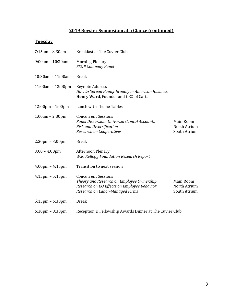# **2019 Beyster Symposium at a Glance (continued)**

# **Tuesday**

| $7:15$ am - 8:30am                 | <b>Breakfast at The Cuvier Club</b>                                                                                                                       |                                           |
|------------------------------------|-----------------------------------------------------------------------------------------------------------------------------------------------------------|-------------------------------------------|
| $9:00$ am - 10:30am                | <b>Morning Plenary</b><br><b>ESOP Company Panel</b>                                                                                                       |                                           |
| $10:30$ am - $11:00$ am            | <b>Break</b>                                                                                                                                              |                                           |
| $11:00am - 12:00pm$                | Keynote Address<br>How to Spread Equity Broadly in American Business<br>Henry Ward, Founder and CEO of Carta                                              |                                           |
| $12:00 \text{pm} - 1:00 \text{pm}$ | Lunch with Theme Tables                                                                                                                                   |                                           |
| $1:00am - 2:30pm$                  | <b>Concurrent Sessions</b><br>Panel Discussion: Universal Capital Accounts<br><b>Risk and Diversification</b><br><b>Research on Cooperatives</b>          | Main Room<br>North Atrium<br>South Atrium |
| $2:30 \text{pm} - 3:00 \text{pm}$  | <b>Break</b>                                                                                                                                              |                                           |
| $3:00 - 4:00$ pm                   | <b>Afternoon Plenary</b><br>W.K. Kellogg Foundation Research Report                                                                                       |                                           |
| $4:00 \text{pm} - 4:15 \text{pm}$  | Transition to next session                                                                                                                                |                                           |
| $4:15$ pm – $5:15$ pm              | <b>Concurrent Sessions</b><br>Theory and Research on Employee Ownership<br>Research on EO Effects on Employee Behavior<br>Research on Labor-Managed Firms | Main Room<br>North Atrium<br>South Atrium |
| $5:15$ pm – $6:30$ pm              | <b>Break</b>                                                                                                                                              |                                           |
| $6:30$ pm – $8:30$ pm              | Reception & Fellowship Awards Dinner at The Cuvier Club                                                                                                   |                                           |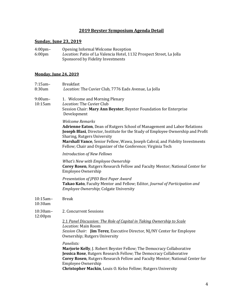### **2019 Beyster Symposium Agenda Detail**

# **Sunday, June 23, 2019**

| $4:00 \text{pm}$ | Opening Informal Welcome Reception                                   |
|------------------|----------------------------------------------------------------------|
| $6:00 \text{pm}$ | Location: Patio of La Valencia Hotel, 1132 Prospect Street, La Jolla |
|                  | Sponsored by Fidelity Investments                                    |

#### **Monday, June 24, 2019**

| $7:15am -$<br>8:30am   | <b>Breakfast</b><br>Location: The Cuvier Club, 7776 Eads Avenue, La Jolla                                                                                                                                                                                                                                                                                             |
|------------------------|-----------------------------------------------------------------------------------------------------------------------------------------------------------------------------------------------------------------------------------------------------------------------------------------------------------------------------------------------------------------------|
| $9:00am -$<br>10:15am  | 1. Welcome and Morning Plenary<br>Location: The Cuvier Club<br>Session Chair: Mary Ann Beyster, Beyster Foundation for Enterprise<br>Development                                                                                                                                                                                                                      |
|                        | <b>Welcome Remarks</b><br>Adrienne Eaton, Dean of Rutgers School of Management and Labor Relations<br>Joseph Blasi, Director, Institute for the Study of Employee Ownership and Profit<br>Sharing, Rutgers University<br>Marshall Vance, Senior Fellow, Wawa, Joseph Cabral, and Fidelity Investments<br>Fellow; Chair and Organizer of the Conference; Virginia Tech |
|                        | <b>Introduction of New Fellows</b>                                                                                                                                                                                                                                                                                                                                    |
|                        | What's New with Employee Ownership<br>Corey Rosen, Rutgers Research Fellow and Faculty Mentor; National Center for<br>Employee Ownership                                                                                                                                                                                                                              |
|                        | Presentation of JPEO Best Paper Award<br>Takao Kato, Faculty Mentor and Fellow; Editor, Journal of Participation and<br>Employee Ownership; Colgate University                                                                                                                                                                                                        |
| $10:15$ am-<br>10:30am | <b>Break</b>                                                                                                                                                                                                                                                                                                                                                          |
| 10:30am-               | 2. Concurrent Sessions                                                                                                                                                                                                                                                                                                                                                |
| 12:00pm                | 2.1 Panel Discussion: The Role of Capital in Taking Ownership to Scale<br>Location: Main Room<br>Session Chair: Jim Terez, Executive Director, NJ/NY Center for Employee<br>Ownership; Rutgers University                                                                                                                                                             |
|                        | Panelists:<br>Marjorie Kelly, J. Robert Beyster Fellow; The Democracy Collaborative<br>Jessica Rose, Rutgers Research Fellow; The Democracy Collaborative<br>Corey Rosen, Rutgers Research Fellow and Faculty Mentor; National Center for<br>Employee Ownership<br>Christopher Mackin, Louis O. Kelso Fellow; Rutgers University                                      |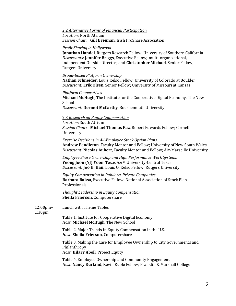#### 2.2 *Alternative Forms of Financial Participation Location:* North Atrium *Session Chair:* **Gill Brennan**, Irish ProShare Association

#### *Profit Sharing in Hollywood*

**Jonathan Handel**, Rutgers Research Fellow; University of Southern California *Discussants:* **Jennifer Briggs**, Executive Fellow; multi-organizational, Independent Outside Director; and **Christopher Michael**, Senior Fellow; Rutgers University

#### *Broad-Based Platform Ownership*

**Nathan Schneider**, Louis Kelso Fellow; University of Colorado at Boulder *Discussant:* **Erik Olsen**, Senior Fellow; University of Missouri at Kansas

#### *Platform Cooperatives*

**Michael McHugh**, The Institute for the Cooperative Digital Economy, The New School

*Discussant:* **Dermot McCarthy**, Bournemouth University

#### 2.3 *Research on Equity Compensation*

*Location:* South Atrium *Session Chair:* **Michael Thomas Paz**, Robert Edwards Fellow; Cornell University

*Exercise Decisions in All-Employee Stock Option Plans* **Andrew Pendleton**, Faculty Mentor and Fellow; University of New South Wales *Discussant:* **Nicolas Aubert**, Faculty Mentor and Fellow; Aix-Marseille University

*Employee Share Ownership and High Performance Work Systems* **Yeong Joon (YJ) Yoon**, Texas A&M University-Central Texas *Discussant:* **Joo H. Han**, Louis O. Kelso Fellow; Rutgers University

*Equity Compensation in Public vs. Private Companies* **Barbara Baksa**, Executive Fellow; National Association of Stock Plan Professionals

*Thought Leadership in Equity Compensation* **Sheila Frierson**, Computershare

| $12:00$ pm $-$<br>1:30 <sub>pm</sub> | Lunch with Theme Tables                                                                                                              |
|--------------------------------------|--------------------------------------------------------------------------------------------------------------------------------------|
|                                      | Table 1. Institute for Cooperative Digital Economy<br>Host: Michael McHugh, The New School                                           |
|                                      | Table 2. Major Trends in Equity Compensation in the U.S.<br>Host: Sheila Frierson, Computershare                                     |
|                                      | Table 3. Making the Case for Employee Ownership to City Governments and<br>Philanthropy<br><i>Host:</i> Hilary Abell, Project Equity |
|                                      | Table 4. Employee Ownership and Community Engagement<br><i>Host:</i> Nancy Kurland, Kevin Ruble Fellow; Franklin & Marshall College  |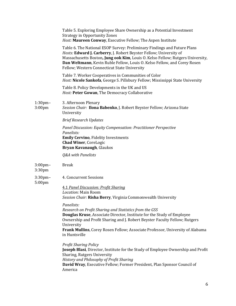|                                     | Table 5. Exploring Employee Share Ownership as a Potential Investment<br><b>Strategy in Opportunity Zones</b><br>Host: Maureen Conway, Executive Fellow; The Aspen Institute                                                                                                                                                                                 |
|-------------------------------------|--------------------------------------------------------------------------------------------------------------------------------------------------------------------------------------------------------------------------------------------------------------------------------------------------------------------------------------------------------------|
|                                     | Table 6. The National ESOP Survey: Preliminary Findings and Future Plans<br>Hosts: Edward J. Carberry, J. Robert Beyster Fellow; University of<br>Massachusetts Boston, Jung ook Kim, Louis O. Kelso Fellow; Rutgers University,<br>Dan Weltmann, Kevin Ruble Fellow, Louis O. Kelso Fellow, and Corey Rosen<br>Fellow; Western Connecticut State University |
|                                     | Table 7. Worker Cooperatives in Communities of Color<br><i>Host:</i> Nicole Sankofa, George S. Pillsbury Fellow; Mississippi State University                                                                                                                                                                                                                |
|                                     | Table 8. Policy Developments in the UK and US<br>Host: Peter Gowan, The Democracy Collaborative                                                                                                                                                                                                                                                              |
| $1:30$ pm $-$<br>3:00 <sub>pm</sub> | 3. Afternoon Plenary<br>Session Chair: Ilona Babenko, J. Robert Beyster Fellow; Arizona State<br>University                                                                                                                                                                                                                                                  |
|                                     | <b>Brief Research Updates</b>                                                                                                                                                                                                                                                                                                                                |
|                                     | Panel Discussion: Equity Compensation: Practitioner Perspective<br>Panelists:<br><b>Emily Cervino</b> , Fidelity Investments<br><b>Chad Winer, CoreLogic</b><br>Bryan Kavanaugh, Glaukos                                                                                                                                                                     |
|                                     | Q&A with Panelists                                                                                                                                                                                                                                                                                                                                           |
| $3:00$ pm $-$<br>3:30pm             | <b>Break</b>                                                                                                                                                                                                                                                                                                                                                 |
| $3:30$ pm $-$<br>5:00pm             | 4. Concurrent Sessions                                                                                                                                                                                                                                                                                                                                       |
|                                     | 4.1 Panel Discussion: Profit Sharing<br>Location: Main Room<br>Session Chair: Risha Berry, Virginia Commonwealth University                                                                                                                                                                                                                                  |
|                                     | Panelists:<br>Research on Profit Sharing and Statistics from the GSS<br>Douglas Kruse, Associate Director, Institute for the Study of Employee<br>Ownership and Profit Sharing and J. Robert Beyster Faculty Fellow; Rutgers<br>University<br>Frank Mullins, Corey Rosen Fellow; Associate Professor, University of Alabama<br>in Huntsville                 |
|                                     | <b>Profit Sharing Policy</b><br>Joseph Blasi, Director, Institute for the Study of Employee Ownership and Profit<br>Sharing, Rutgers University<br>History and Philosophy of Profit Sharing<br>David Wray, Executive Fellow; Former President, Plan Sponsor Council of<br>America                                                                            |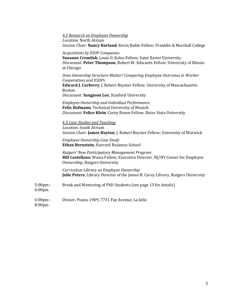|                            | 4.2 Research on Employee Ownership<br>Location: North Atrium<br>Session Chair: Nancy Kurland, Kevin Ruble Fellow; Franklin & Marshall College                                                                                                   |
|----------------------------|-------------------------------------------------------------------------------------------------------------------------------------------------------------------------------------------------------------------------------------------------|
|                            | <b>Acquisitions by ESOP Companies</b><br>Suzanne Cromlish, Louis O. Kelso Fellow; Saint Xavier University<br>Discussant: Peter Thompson, Robert W. Edwards Fellow; University of Illinois<br>at Chicago                                         |
|                            | Does Ownership Structure Matter? Comparing Employee Outcomes in Worker<br>Cooperatives and ESOPs<br>Edward J. Carberry, J. Robert Beyster Fellow; University of Massachusetts<br><b>Boston</b><br>Discussant: Sangjoon Lee, Stanford University |
|                            | Employee Ownership and Individual Performance<br>Felix Hofmann, Technical University of Munich<br>Discussant: Felice Klein, Corey Rosen Fellow; Boise State University                                                                          |
|                            | 4.3 Case Studies and Teaching<br>Location: South Atrium<br>Session Chair: James Hayton, J. Robert Beyster Fellow; University of Warwick                                                                                                         |
|                            | Employee Ownership Case Study<br>Ethan Bernstein, Harvard Business School                                                                                                                                                                       |
|                            | Rutgers' New Participatory Management Program<br>Bill Castellano, Wawa Fellow; Executive Director, NJ/NY Center for Employee<br>Ownership; Rutgers University                                                                                   |
|                            | Curriculum Library on Employee Ownership<br>Julie Peters, Library Director of the James B. Carey Library, Rutgers University                                                                                                                    |
| $5:00$ pm $-$<br>$6:00$ pm | Break and Mentoring of PhD Students (see page 13 for details)                                                                                                                                                                                   |
| $6:00$ pm $-$<br>8:00pm    | Dinner, Piazza 1909, 7731 Fay Avenue, La Jolla                                                                                                                                                                                                  |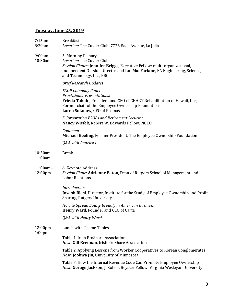## **Tuesday, June 25, 2019**

| $7:15am -$<br>8:30am                 | <b>Breakfast</b><br>Location: The Cuvier Club, 7776 Eads Avenue, La Jolla                                                                                                                                                             |
|--------------------------------------|---------------------------------------------------------------------------------------------------------------------------------------------------------------------------------------------------------------------------------------|
| 9:00am-<br>10:30am                   | 5. Morning Plenary<br>Location: The Cuvier Club<br>Session Chairs: Jennifer Briggs, Executive Fellow; multi-organizational,<br>Independent Outside Director and Ian MacFarlane, EA Engineering, Science,<br>and Technology, Inc., PBC |
|                                      | <b>Brief Research Updates</b>                                                                                                                                                                                                         |
|                                      | <b>ESOP Company Panel</b><br><b>Practitioner Presentations:</b><br>Frieda Takaki, President and CEO of CHART Rehabilitation of Hawaii, Inc.;<br>Former chair of the Employee Ownership Foundation<br>Loren Sokolow, CFO of Psomas     |
|                                      | S Corporation ESOPs and Retirement Security<br>Nancy Wiefek, Robert W. Edwards Fellow; NCEO                                                                                                                                           |
|                                      | Comment<br>Michael Keeling, Former President, The Employee Ownership Foundation                                                                                                                                                       |
|                                      | Q&A with Panelists                                                                                                                                                                                                                    |
| 10:30am-<br>11:00am                  | <b>Break</b>                                                                                                                                                                                                                          |
| 11:00am-<br>12:00pm                  | 6. Keynote Address<br>Session Chair: Adrienne Eaton, Dean of Rutgers School of Management and<br><b>Labor Relations</b>                                                                                                               |
|                                      | Introduction<br>Joseph Blasi, Director, Institute for the Study of Employee Ownership and Profit<br>Sharing, Rutgers University                                                                                                       |
|                                      | How to Spread Equity Broadly in American Business<br><b>Henry Ward, Founder and CEO of Carta</b>                                                                                                                                      |
|                                      | Q&A with Henry Ward                                                                                                                                                                                                                   |
| $12:00$ pm $-$<br>1:00 <sub>pm</sub> | Lunch with Theme Tables                                                                                                                                                                                                               |
|                                      | Table 1. Irish ProShare Association<br>Host: Gill Brennan, Irish ProShare Association                                                                                                                                                 |
|                                      | Table 2. Applying Lessons from Worker Cooperatives to Korean Conglomerates<br>Host: Joohwa Jin, University of Minnesota                                                                                                               |
|                                      | Table 3. How the Internal Revenue Code Can Promote Employee Ownership<br>Host: Geroge Jackson, J. Robert Beyster Fellow; Virginia Wesleyan University                                                                                 |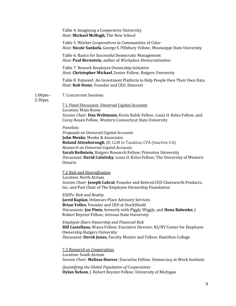|                                     | Table 4. Imagining a Cooperative University<br>Host: Michael McHugh, The New School                                                                                                                                                                                                                                                                                       |
|-------------------------------------|---------------------------------------------------------------------------------------------------------------------------------------------------------------------------------------------------------------------------------------------------------------------------------------------------------------------------------------------------------------------------|
|                                     | Table 5. Worker Cooperatives in Communities of Color<br><i>Host:</i> Nicole Sankofa, George S. Pillsbury Fellow; Mississippi State University                                                                                                                                                                                                                             |
|                                     | Table 6. Basics for Successful Democratic Management<br>Host: Paul Bernstein, author of Workplace Democratization                                                                                                                                                                                                                                                         |
|                                     | Table 7. Newark Employee Ownership Initiative<br>Host: Christopher Michael, Senior Fellow; Rutgers University                                                                                                                                                                                                                                                             |
|                                     | Table 8. Datavest: An Investment Platform to Help People Own Their Own Data<br>Host: Rob Stone, Founder and CEO, Datavest                                                                                                                                                                                                                                                 |
| $1:00$ pm $-$<br>2:30 <sub>pm</sub> | 7. Concurrent Sessions                                                                                                                                                                                                                                                                                                                                                    |
|                                     | <b>7.1 Panel Discussion: Universal Capital Accounts</b>                                                                                                                                                                                                                                                                                                                   |
|                                     | Location: Main Room<br>Session Chair: Dan Weltmann, Kevin Ruble Fellow, Louis O. Kelso Fellow, and<br>Corey Rosen Fellow, Western Connecticut State University                                                                                                                                                                                                            |
|                                     | Panelists:<br>Proposals on Universal Capital Accounts<br><b>John Menke, Menke &amp; Associates</b><br>Roland Attenborough, JD, LLM in Taxation, CPA (Inactive-CA)<br>Research on Universal Capital Accounts<br>Sarah Reibstein, Rutgers Research Fellow; Princeton University<br>Discussant: David Calnitsky, Louis O. Kelso Fellow; The University of Western<br>Ontario |
|                                     | <b>7.2 Risk and Diversification</b><br>Location: North Atrium<br>Session Chair: Joseph Cabral, Founder and Retired CEO Chatsworth Products,<br>Inc. and Past Chair of The Employee Ownership Foundation                                                                                                                                                                   |
|                                     | <b>ESOPs: Risk and Reality</b><br><b>Jared Kaplan, Delaware Place Advisory Services</b><br>Brian Yolles, Founder and CEO at StockShield<br>Discussants: Joe Pinto, formerly with Piggly Wiggly, and Ilona Babenko, J.<br>Robert Beyster Fellow; Arizona State University                                                                                                  |
|                                     | <b>Employee Share Ownership and Financial Risk</b><br>Bill Castellano, Wawa Fellow; Executive Director, NJ/NY Center for Employee<br><b>Ownership Rutgers University</b><br>Discussant: Derek Jones, Faculty Mentor and Fellow; Hamilton College                                                                                                                          |
|                                     | <b>7.3 Research on Cooperatives</b><br>Location: South Atrium<br>Session Chair: Melissa Hoover, Executive Fellow; Democracy at Work Institute                                                                                                                                                                                                                             |
|                                     | Quantifying the Global Population of Cooperatives<br>Dylan Nelson, J. Robert Beyster Fellow; University of Michigan                                                                                                                                                                                                                                                       |
|                                     |                                                                                                                                                                                                                                                                                                                                                                           |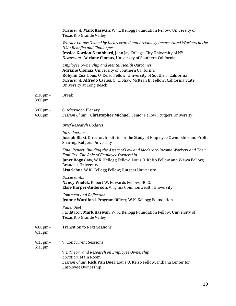|                                     | Discussant: Mark Kaswan, W. K. Kellogg Foundation Fellow; University of<br>Texas Rio Grande Valley                                                                                                                                                                                                 |
|-------------------------------------|----------------------------------------------------------------------------------------------------------------------------------------------------------------------------------------------------------------------------------------------------------------------------------------------------|
|                                     | Worker Co-ops Owned by Incarcerated and Previously Incarcerated Workers in the<br><b>USA: Benefits and Challenges</b><br>Jessica Gordon-Nembhard, John Jay College, City University of NY<br>Discussant: Adriane Clomax, University of Southern California                                         |
|                                     | <b>Employee Ownership and Mental Health Outcomes</b><br>Adriane Clomax, University of Southern California<br>Robynn Cox, Louis O. Kelso Fellow; University of Southern California<br>Discussant: Alfredo Carlos, Q. E. Shaw McKean Jr. Fellow; California State<br><b>University at Long Beach</b> |
| $2:30$ pm $-$<br>3:00 <sub>pm</sub> | <b>Break</b>                                                                                                                                                                                                                                                                                       |
| 3:00pm-<br>4:00 <sub>pm</sub>       | 8. Afternoon Plenary<br>Session Chair: Christopher Michael, Senior Fellow; Rutgers University                                                                                                                                                                                                      |
|                                     | <b>Brief Research Updates</b>                                                                                                                                                                                                                                                                      |
|                                     | Introduction<br>Joseph Blasi, Director, Institute for the Study of Employee Ownership and Profit<br>Sharing, Rutgers University                                                                                                                                                                    |
|                                     | Final Report: Building the Assets of Low and Moderate-Income Workers and Their<br>Families-The Role of Employee Ownership<br>Janet Boguslaw, W.K. Kellogg Fellow, Louis O. Kelso Fellow and Wawa Fellow;<br><b>Brandeis University</b><br>Lisa Schur, W.K. Kellogg Fellow; Rutgers University      |
|                                     | Discussants:<br>Nancy Wiefek, Robert W. Edwards Fellow; NCEO<br>Elsie Harper-Anderson, Virginia Commonwealth University                                                                                                                                                                            |
|                                     | <b>Comment and Reflection</b><br>Jeanne Wardford, Program Officer, W.K. Kellogg Foundation                                                                                                                                                                                                         |
|                                     | Panel Q&A<br>Facilitator: Mark Kaswan, W. K. Kellogg Foundation Fellow; University of<br>Texas Rio Grande Valley                                                                                                                                                                                   |
| $4:00$ pm $-$<br>$4:15$ pm          | <b>Transition to Next Sessions</b>                                                                                                                                                                                                                                                                 |
| $4:15$ pm $-$<br>5:15pm             | 9. Concurrent Sessions                                                                                                                                                                                                                                                                             |
|                                     | 9.1 Theory and Research on Employee Ownership<br>Location: Main Room<br>Session Chair: Rick Van Doel, Louis O. Kelso Fellow; Indiana Center for<br>Employee Ownership                                                                                                                              |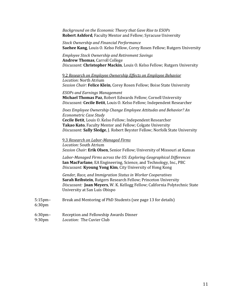*Background on the Economic Theory that Gave Rise to ESOPs* **Robert Ashford**, Faculty Mentor and Fellow; Syracuse University

*Stock Ownership and Financial Performance* **Saehee Kang**, Louis O. Kelso Fellow, Corey Rosen Fellow; Rutgers University

*Employee Stock Ownership and Retirement Savings* **Andrew Thomas**, Carroll College *Discussant:* **Christopher Mackin**, Louis O. Kelso Fellow; Rutgers University

9.2 *Research on Employee Ownership Effects on Employee Behavior Location:* North Atrium *Session Chair:* **Felice Klein**, Corey Rosen Fellow; Boise State University

*ESOPs and Earnings Management* **Michael Thomas Paz**, Robert Edwards Fellow; Cornell University *Discussant:* **Cecile Betit**, Louis O. Kelso Fellow; Independent Researcher

*Does Employee Ownership Change Employee Attitudes and Behavior? An Econometric Case Study*  **Cecile Betit**, Louis O. Kelso Fellow; Independent Researcher **Takao Kato**, Faculty Mentor and Fellow; Colgate University

*Discussant:* **Sally Sledge**, J. Robert Beyster Fellow; Norfolk State University

9.3 *Research on Labor-Managed Firms Location:* South Atrium

*Session Chair:* **Erik Olsen**, Senior Fellow; University of Missouri at Kansas

*Labor-Managed Firms across the US: Exploring Geographical Differences* **Ian MacFarlane**, EA Engineering, Science, and Technology, Inc., PBC *Discussant:* **Kyoung Yong Kim**, City University of Hong Kong

*Gender, Race, and Immigration Status in Worker Cooperatives* **Sarah Reibstein**, Rutgers Research Fellow; Princeton University *Discussant:* **Joan Meyers**, W. K. Kellogg Fellow; California Polytechnic State University at San Luis Obispo

5:15pm– Break and Mentoring of PhD Students (see page 13 for details)

6:30pm

6:30pm– Reception and Fellowship Awards Dinner 9:30pm *Location:* The Cuvier Club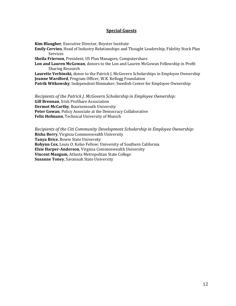#### **Special Guests**

**Kim Blaugher**, Executive Director, Beyster Institute **Emily Cervino**, Head of Industry Relationships and Thought Leadership, Fidelity Stock Plan Services **Sheila Frierson**, President, US Plan Managers, Computershare **Lon and Lauren McGowan**, donors to the Lon and Lauren McGowan Fellowship in Profit Sharing Research **Laurette Verbinski,** donor to the Patrick J. McGovern Scholarships in Employee Ownership **Jeanne Wardford**, Program Officer, W.K. Kellogg Foundation **Patrik Witkowsky**, Independent filmmaker; Swedish Center for Employee Ownership

*Recipients of the Patrick J. McGovern Scholarship in Employee Ownership:* **Gill Brennan**, Irish ProShare Association **Dermot McCarthy**, Bournemouth University **Peter Gowan**, Policy Associate at the Democracy Collaborative **Felix Hofmann**, Technical University of Munich

*Recipients of the Citi Community Development Scholarship in Employee Ownership:* **Risha Berry**, Virginia Commonwealth University **Tanya Brice**, Bowie State University **Robynn Cox**, Louis O. Kelso Fellow; University of Southern California **Elsie Harper-Anderson**, Virginia Commonwealth University **Vincent Mangum**, Atlanta Metropolitan State College **Susanne Toney**, Savannah State University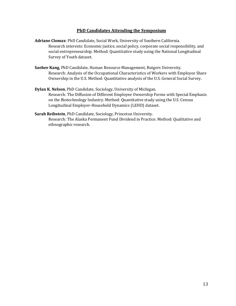#### **PhD Candidates Attending the Symposium**

- **Adriane Clomax**: PhD Candidate, Social Work, University of Southern California. Research interests: Economic justice, social policy, corporate social responsibility, and social entrepreneurship. Method: Quantitative study using the National Longitudinal Survey of Youth dataset.
- **Saehee Kang**, PhD Candidate, Human Resource Management, Rutgers University. Research: Analysis of the Occupational Characteristics of Workers with Employee Share Ownership in the U.S. Method: Quantitative analysis of the U.S. General Social Survey.
- **Dylan K. Nelson**, PhD Candidate, Sociology, University of Michigan. Research: The Diffusion of Different Employee Ownership Forms with Special Emphasis on the Biotechnology Industry. Method: Quantitative study using the U.S. Census Longitudinal Employer-Household Dynamics (LEHD) dataset.
- **Sarah Reibstein**, PhD Candidate, Sociology, Princeton University. Research: The Alaska Permanent Fund Dividend in Practice. Method: Qualitative and ethnographic research.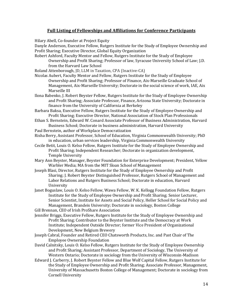#### **Full Listing of Fellowships and Affiliations for Conference Participants**

Hilary Abell, Co-founder at Project Equity

Danyle Anderson, Executive Fellow, Rutgers Institute for the Study of Employee Ownership and Profit Sharing; Executive Director, Global Equity Organization

Robert Ashford, Faculty Mentor and Fellow, Rutgers Institute for the Study of Employee Ownership and Profit Sharing; Professor of law, Syracuse University School of Law; J.D. from the Harvard Law School

Roland Attenborough, JD, LLM in Taxation, CPA (Inactive-CA)

- Nicolas Aubert, Faculty Mentor and Fellow, Rutgers Institute for the Study of Employee Ownership and Profit Sharing; Professor of Finance, Aix-Marseille Graduate School of Management, Aix-Marseille University; Doctorate in the social science of work, IAE, Aix Marseille III
- Ilona Babenko, J. Robert Beyster Fellow, Rutgers Institute for the Study of Employee Ownership and Profit Sharing; Associate Professor, Finance, Arizona State University; Doctorate in finance from the University of California at Berkeley

Barbara Baksa, Executive Fellow, Rutgers Institute for the Study of Employee Ownership and Profit Sharing; Executive Director, National Association of Stock Plan Professionals

Ethan S. Bernstein, Edward W. Conard Associate Professor of Business Administration, Harvard Business School; Doctorate in business administration, Harvard University

- Paul Bernstein, author of Workplace Democratization
- Risha Berry, Assistant Professor, School of Education, Virginia Commonwealth University; PhD in education, urban services leadership, Virginia Commonwealth University
- Cecile Betit, Louis O. Kelso Fellow, Rutgers Institute for the Study of Employee Ownership and Profit Sharing; Independent Researcher; Doctorate in organization development, Temple University
- Mary Ann Beyster, Manager, Beyster Foundation for Enterprise Development; President, Yellow Warbler Media; MA from the MIT Sloan School of Management
- Joseph Blasi, Director, Rutgers Institute for the Study of Employee Ownership and Profit Sharing; J. Robert Beyster Distinguished Professor, Rutgers School of Management and Labor Relations and Rutgers Business School; Doctorate in education, Harvard University
- Janet Boguslaw, Louis O. Kelso Fellow, Wawa Fellow, W. K. Kellogg Foundation Fellow, Rutgers Institute for the Study of Employee Ownership and Profit Sharing; Senior Lecturer, Senior Scientist, Institute for Assets and Social Policy, Heller School for Social Policy and Management, Brandeis University; Doctorate in sociology, Boston College

Gill Brennan, CEO of Irish ProShare Association

- Jennifer Briggs, Executive Fellow, Rutgers Institute for the Study of Employee Ownership and Profit Sharing; Contributor to the Beyster Institute and the Democracy at Work Institute; Independent Outside Director; former Vice President of Organizational Development, New Belgium Brewery
- Joseph Cabral, Founder and Retired CEO Chatsworth Products, Inc. and Past Chair of The Employee Ownership Foundation
- David Calnitsky, Louis O. Kelso Fellow, Rutgers Institute for the Study of Employee Ownership and Profit Sharing; Assistant Professor, Department of Sociology, The University of Western Ontario; Doctorate in sociology from the University of Wisconsin-Madison
- Edward J. Carberry, J. Robert Beyster Fellow and Blue Wolf Capital Fellow, Rutgers Institute for the Study of Employee Ownership and Profit Sharing; Associate Professor, Management, University of Massachusetts Boston College of Management; Doctorate in sociology from Cornell University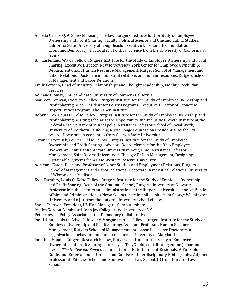- Alfredo Carlos, Q. A. Shaw McKean Jr. Fellow, Rutgers Institute for the Study of Employee Ownership and Profit Sharing; Faculty, Political Science and Chicano Latino Studies, California State University of Long Beach; Executive Director, The Foundation for Economic Democracy; Doctorate in Political Science from the University of California at Irvine
- Bill Castellano, Wawa Fellow, Rutgers Institute for the Study of Employee Ownership and Profit Sharing; Executive Director, New Jersey/New York Center for Employee Ownership; Department Chair, Human Resource Management, Rutgers School of Management and Labor Relations; Doctorate in industrial relations and human resources, Rutgers School of Management and Labor Relations
- Emily Cervino, Head of Industry Relationships and Thought Leadership, Fidelity Stock Plan Services
- Adriane Clomax, PhD candidate, University of Southern California
- Maureen Conway, Executive Fellow, Rutgers Institute for the Study of Employee Ownership and Profit Sharing; Vice President for Policy Programs, Executive Director of Economic Opportunities Program, The Aspen Institute
- Robynn Cox, Louis O. Kelso Fellow, Rutgers Institute for the Study of Employee Ownership and Profit Sharing; Visiting scholar at the Opportunity and Inclusive Growth Institute at the Federal Reserve Bank of Minneapolis; Assistant Professor, School of Social Work, University of Southern California; Russell Sage Foundation Presidential Authority Award; Doctorate in economics from Georgia State University
- Suzanne Cromlish, Louis O. Kelso Fellow, Rutgers Institute for the Study of Employee Ownership and Profit Sharing; Advisory Board Member for the Ohio Employee Ownership Center at Kent State University in Kent, Ohio; Assistant Professor, Management, Saint Xavier University in Chicago; PhD in Management, Designing Sustainable Systems from Case Western Reserve University
- Adrienne Eaton, Dean and Professor of Labor Studies and Employment Relations, Rutgers School of Management and Labor Relations; Doctorate in industrial relations, University of Wisconsin at Madison
- Kyle Farmbry, Louis O. Kelso Fellow, Rutgers Institute for the Study of Employee Ownership and Profit Sharing; Dean of the Graduate School, Rutgers University at Newark; Professor in public affairs and administration at the Rutgers University School of Public Affairs and Administration at Newark; doctorate in philosophy from George Washington University and a J.D. from the Rutgers University School of Law
- Sheila Frierson, President, US Plan Managers, Computershare
- Jessica Gordon-Nembhard, John Jay College, City University of NY
- Peter Gowan, Policy Associate at the Democracy Collaborative
- Joo H. Han, Louis O. Kelso Fellow and Morgan Stanley Fellow, Rutgers Institute for the Study of Employee Ownership and Profit Sharing; Assistant Professor, Human Resource Management, Rutgers School of Management and Labor Relations; Doctorate in organizational behavior and human resources, University of Maryland
- Jonathan Handel, Rutgers Research Fellow, Rutgers Institute for the Study of Employee Ownership and Profit Sharing; attorney at TroyGould, contributing editor (labor and law) at *The Hollywood Reporter,* and author of Entertainment Residuals: A Full Color Guide, and Entertainment Unions and Guilds: An Interdisciplinary Bibliography. Adjunct professor at USC Law School and Southwestern Law School. JD from Harvard Law School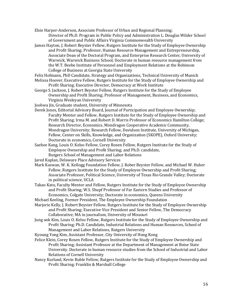Elsie Harper-Anderson, Associate Professor of Urban and Regional Planning; Director of Ph.D. Program in Public Policy and Administration L. Douglas Wilder School of Government and Public Affairs Virginia Commonwealth University

- James Hayton, J. Robert Beyster Fellow, Rutgers Institute for the Study of Employee Ownership and Profit Sharing; Professor, Human Resource Management and Entrepreneurship, Associate Dean of the Doctoral Program, and Enterprise Research Center, University of Warwick, Warwick Business School; Doctorate in human resource management from the W.T. Beebe Institute of Personnel and Employment Relations at the Robinson College of Business at Georgia State University
- Felix Hofmann, PhD Candidate, Strategy and Organizations, Technical University of Munich Melissa Hoover, Executive Fellow, Rutgers Institute for the Study of Employee Ownership and Profit Sharing; Executive Director, Democracy at Work Institute
- George S. Jackson, J. Robert Beyster Fellow, Rutgers Institute for the Study of Employee Ownership and Profit Sharing; Professor of Management, Business, and Economics, Virginia Wesleyan University

Joohwa Jin, Graduate student, University of Minnesota

- Derek Jones, Editorial Advisory Board, Journal of Participation and Employee Ownership; Faculty Mentor and Fellow, Rutgers Institute for the Study of Employee Ownership and Profit Sharing; Irma M. and Robert D. Morris Professor of Economics Hamilton College; Research Director, Economics, Mondragon Cooperative Academic Community, Mondragon University; Research Fellow, Davidson Institute, University of Michigan, Fellow, Center on Skills, Knowledge, and Organization (SKOPE), Oxford University; Doctorate in economics, Cornell University
- Saehee Kang, Louis O. Kelso Fellow, Corey Rosen Fellow, Rutgers Institute for the Study of Employee Ownership and Profit Sharing; and Ph.D. candidate,
	- Rutgers School of Management and Labor Relations
- Jared Kaplan, Delaware Place Advisory Services
- Mark Kaswan, W. K. Kellogg Foundation Fellow, J. Rober Beyster Fellow, and Michael W. Huber Fellow, Rutgers Institute for the Study of Employee Ownership and Profit Sharing; Associate Professor, Political Science, University of Texas Rio Grande Valley; Doctorate in political science, UCLA
- Takao Kato, Faculty Mentor and Fellow, Rutgers Institute for the Study of Employee Ownership and Profit Sharing; W.S. Shupf Professor of Far Eastern Studies and Professor of Economics, Colgate University; Doctorate in economics, Queens University

Michael Keeling, Former President, The Employee Ownership Foundation

- Marjorie Kelly, J. Robert Beyster Fellow, Rutgers Institute for the Study of Employee Ownership and Profit Sharing; Executive Vice President and Senior Fellow, The Democracy Collaborative; MA in journalism, University of Missouri
- Jung ook Kim, Louis O. Kelso Fellow, Rutgers Institute for the Study of Employee Ownership and Profit Sharing; Ph.D. Candidate, Industrial Relations and Human Resources, School of Management and Labor Relations, Rutgers University

Kyoung Yong Kim, Assistant Professor, City University of Hong Kong

- Felice Klein, Corey Rosen Fellow, Rutgers Institute for the Study of Employee Ownership and Profit Sharing; Assistant Professor at the Department of Management at Boise State University. Doctorate in human resource studies from the School of Industrial and Labor Relations of Cornell University
- Nancy Kurland, Kevin Ruble Fellow, Rutgers Institute for the Study of Employee Ownership and Profit Sharing; Franklin & Marshall College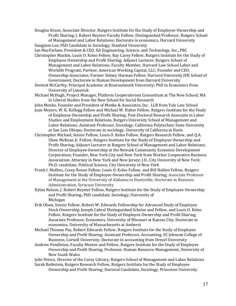Douglas Kruse, Associate Director, Rutgers Institute for the Study of Employee Ownership and Profit Sharing; J. Robert Beyster Faculty Fellow; Distinguished Professor, Rutgers School of Management and Labor Relations; Doctorate in economics, Harvard University

Sangjoon Lee, PhD Candidate in Sociology, Stanford University

Ian MacFarlane, President & CEO, EA Engineering, Science, and Technology, Inc., PBC Christopher Mackin, Louis O. Kelso Fellow, Ray Carey Fellow, Rutgers Institute for the Study of Employee Ownership and Profit Sharing; Adjunct Lecturer, Rutgers School of Management and Labor Relations; Faculty Member, Harvard Law School Labor and Worklife Program; Partner, American Working Capital, LLC; Founder and CEO, Ownership Associates; Former Sidney Harman Fellow, Harvard University JFK School of Government; Doctorate in Human Development from Harvard University

Dermot McCarthy, Principal Academic at Bournemouth University; PhD in Economics from University of Limerick

Michael McHugh, Project Manager, Platform Cooperativism Consortium at The New School; MA in Liberal Studies from the New School for Social Research

John Menke, Founder and President of Menke & Associates, Inc. LLB from Yale Law School

Joan Meyers, W. K. Kellogg Fellow and Michael W. Huber Fellow, Rutgers Institute for the Study of Employee Ownership and Profit Sharing; Post-Doctoral Research Associate in Labor Studies and Employment Relations, Rutgers University School of Management and Labor Relations; Assistant Professor, Sociology, California Polytechnic State University at San Luis Obispo; Doctorate in sociology, University of California at Davis

Christopher Michael, Senior Fellow, Louis O. Kelso Fellow, Rutgers Research Fellow, and Q.A. Shaw McKean Jr. Fellow, Rutgers Institute for the Study of Employee Ownership and Profit Sharing; Adjunct Lecturer at Rutgers School of Management and Labor Relations; Director of Employee Ownership at the Newark Community Economic Development Corporation; Founder, New York City and New York State Worker Cooperative Business Association; Attorney in New York and New Jersey; J.D., City University of New York; Ph.D. candidate, Political Science, City University of New York

Frank I. Mullins, Corey Rosen Fellow, Louis O. Kelso Fellow, and Bill Nobles Fellow, Rutgers Institute for the Study of Employee Ownership and Profit Sharing; Associate Professor of Management at the University of Alabama in Huntsville; Doctorate in Business Administration, Syracuse University

Dylan Nelson, J. Robert Beyster Fellow, Rutgers Institute for the Study of Employee Ownership and Profit Sharing; PhD candidate, Sociology, University of Michigan

Erik Olsen, Senior Fellow, Robert W. Edwards Fellowship for Advanced Study of Employee Stock Ownership, Joseph Cabral Distinguished Scholar and Fellow, and Louis O. Kelso Fellow, Rutgers Institute for the Study of Employee Ownership and Profit Sharing; Associate Professor, Economics, University of Missouri at Kansas City; Doctorate in economics, University of Massachusetts at Amherst

Michael Thomas Paz, Robert Edwards Fellow, Rutgers Institute for the Study of Employee Ownership and Profit Sharing; Assistant Professor, Accounting, SC Johnson College of Business, Cornell University; Doctorate in accounting from Drexel University

Andrew Pendleton, Faculty Mentor and Fellow, Rutgers Institute for the Study of Employee Ownership and Profit Sharing; Professor, Human Resource Management, University of New South Wales

Julie Peters, Director of the Carey Library, Rutgers School of Management and Labor Relations Sarah Reibstein, Rutgers Research Fellow, Rutgers Institute for the Study of Employee

Ownership and Profit Sharing; Doctoral Candidate, Sociology, Princeton University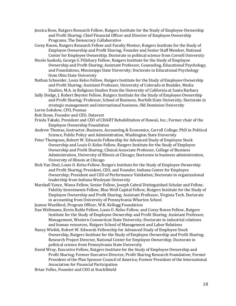- Jessica Rose, Rutgers Research Fellow, Rutgers Institute for the Study of Employee Ownership and Profit Sharing; Chief Financial Officer and Director of Employee Ownership Programs, The Democracy Collaborative
- Corey Rosen, Rutgers Research Fellow and Faculty Mentor, Rutgers Institute for the Study of Employee Ownership and Profit Sharing; Founder and Senior Staff Member, National Center for Employee Ownership; Doctorate in political science from Cornell University
- Nicole Sankofa, George S. Pillsbury Fellow, Rutgers Institute for the Study of Employee Ownership and Profit Sharing; Assistant Professor, Counseling, Educational Psychology, and Foundations, Mississippi State University; Doctorate in Educational Psychology from Ohio State University
- Nathan Schneider, Louis Kelso Fellow, Rutgers Institute for the Study of Employee Ownership and Profit Sharing; Assistant Professor, University of Colorado at Boulder, Media Studies; M.A. in Religious Studies from the University of California at Santa Barbara
- Sally Sledge, J. Robert Beyster Fellow, Rutgers Institute for the Study of Employee Ownership and Profit Sharing; Professor, School of Business, Norfolk State University; Doctorate in strategic management and international business, Old Dominion University Loren Sokolow, CFO, Psomas
- Rob Stone, Founder and CEO, Datavest
- Frieda Takaki, President and CEO of CHART Rehabilitation of Hawaii, Inc.; Former chair of the Employee Ownership Foundation
- Andrew Thomas, Instructor, Business, Accounting & Economics, Carroll College; PhD in Political Science, Public Policy and Administration, Washington State University
- Peter Thompson, Robert W. Edwards Fellowship for Advanced Study of Employee Stock Ownership and Louis O. Kelso Fellow, Rutgers Institute for the Study of Employee Ownership and Profit Sharing; Clinical Associate Professor, College of Business Administration, University of Illinois at Chicago; Doctorate in business administration, University of Illinois at Chicago
- Rick Van Doel, Louis O. Kelso Fellow, Rutgers Institute for the Study of Employee Ownership and Profit Sharing; President, CEO, and Founder, Indiana Center for Employee Ownership; President and CEO of Performance Validation; Doctorate in organizational leadership from Indiana Wesleyan University
- Marshall Vance, Wawa Fellow, Senior Fellow, Joseph Cabral Distinguished Scholar and Fellow, Fidelity Investments Fellow, Blue Wolf Capital Fellow, Rutgers Institute for the Study of Employee Ownership and Profit Sharing; Assistant Professor, Virginia Tech. Doctorate in accounting from University of Pennsylvania Wharton School
- Jeanne Wardford, Program Officer, W.K. Kellogg Foundation
- Dan Weltmann, Kevin Ruble Fellow, Louis O. Kelso Fellow, and Corey Rosen Fellow, Rutgers Institute for the Study of Employee Ownership and Profit Sharing; Assistant Professor, Management, Western Connecticut State University; Doctorate in industrial relations and human resources, Rutgers School of Management and Labor Relations
- Nancy Wiefek, Robert W. Edwards Fellowship for Advanced Study of Employee Stock Ownership, Rutgers Institute for the Study of Employee Ownership and Profit Sharing; Research Project Director, National Center for Employee Ownership; Doctorate in political science from Pennsylvania State University
- David Wray, Executive Fellow, Rutgers Institute for the Study of Employee Ownership and Profit Sharing; Former Executive Director, Profit Sharing Research Foundation; Former President of the Plan Sponsor Council of America; Former President of the International Association for Financial Participation
- Brian Yolles, Founder and CEO at StockShield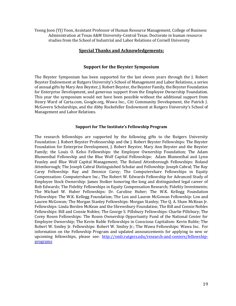Yeong Joon (YJ) Yoon, Assistant Professor of Human Resource Management, College of Business Administration at Texas A&M University-Central Texas. Doctorate in human resource studies from the School of Industrial and Labor Relations of Cornell University

#### **Special Thanks and Acknowledgements:**

#### **Support for the Beyster Symposium**

The Beyster Symposium has been supported for the last eleven years through the J. Robert Beyster Endowment at Rutgers University's School of Management and Labor Relations, a series of annual gifts by Mary Ann Beyster, J. Robert Beyster, the Beyster Family, the Beyster Foundation for Enterprise Development, and generous support from the Employee Ownership Foundation. This year the symposium would not have been possible without the additional support from Henry Ward of Carta.com, Google.org, Wawa Inc., Citi Community Development, the Patrick J. McGovern Scholarships, and the Abby Rockefeller Endowment at Rutgers University's School of Management and Labor Relations.

#### **Support for The Institute's Fellowship Program**

The research fellowships are supported by the following gifts to the Rutgers University Foundation: J. Robert Beyster Professorship and the J. Robert Beyster Fellowships: The Beyster Foundation for Enterprise Development, J. Robert Beyster, Mary Ann Beyster and the Beyster Family; the Louis O. Kelso Fellowships: the Employee Ownership Foundation; The Adam Blumenthal Fellowship and the Blue Wolf Capital Fellowships: Adam Blumenthal and Lynn Feasley and Blue Wolf Capital Management; The Roland Attenborough Fellowships: Roland Attenborough; The Joseph Cabral Distinguished Scholar and Fellowship: Joseph Cabral; The Ray Carey Fellowship: Ray and Dennice Carey; The Computershare Fellowships in Equity Compensation: Computershare Inc.; The Robert W. Edwards Fellowship for Advanced Study of Employee Stock Ownership: James Steiker honoring the long and distinguished legal career of Rob Edwards; The Fidelity Fellowships in Equity Compensation Research; Fidelity Investments; The Michael W. Huber Fellowships: Dr. Caroline Huber; The W.K. Kellogg Foundation Fellowships: The W.K. Kellogg Foundation; The Lon and Lauren McGowan Fellowship: Lon and Lauren McGowan; The Morgan Stanley Fellowships: Morgan Stanley; The Q. A. Shaw McKean Jr. Fellowships: Linda Borden McKean and the Shrewsbury Foundation; The Bill and Connie Nobles Fellowships: Bill and Connie Nobles; The George S. Pillsbury Fellowships: Charlie Pillsbury; The Corey Rosen Fellowships: The Rosen Ownership Opportunity Fund of the National Center for Employee Ownership; The Kevin Ruble Fellowships in Conscious Capitalism: Kevin Ruble; The Robert W. Smiley Jr. Fellowships: Robert W. Smiley Jr.; The Wawa Fellowships: Wawa Inc. For information on the Fellowship Program and updated announcements for applying to new or upcoming fellowships, please see: [http://smlr.rutgers.edu/research-and-centers/fellowship](http://smlr.rutgers.edu/research-and-centers/fellowship-programs)[programs](http://smlr.rutgers.edu/research-and-centers/fellowship-programs)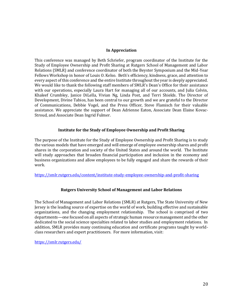#### **In Appreciation**

This conference was managed by Beth Schriefer, program coordinator of the Institute for the Study of Employee Ownership and Profit Sharing at Rutgers School of Management and Labor Relations (SMLR) and conference coordinator of both the Beyster Symposium and the Mid-Year Fellows Workshop in honor of Louis O. Kelso. Beth's efficiency, kindness, grace, and attention to every aspect of this conference and the entire Institute throughout the year is deeply appreciated. We would like to thank the following staff members of SMLR's Dean's Office for their assistance with our operations, especially Laura Hart for managing all of our accounts, and Julia Colvin, Khaleef Crumbley, Janice DiLella, Vivian Ng, Linda Post, and Terri Shields. The Director of Development, Divine Tabios, has been central to our growth and we are grateful to the Director of Communications, Debbie Vogel, and the Press Officer, Steve Flamisch for their valuable assistance. We appreciate the support of Dean Adrienne Eaton, Associate Dean Elaine Kovac-Stroud, and Associate Dean Ingrid Fulmer.

#### **Institute for the Study of Employee Ownership and Profit Sharing**

The purpose of the Institute for the Study of Employee Ownership and Profit Sharing is to study the various models that have emerged and will emerge of employee ownership shares and profit shares in the corporation and society of the United States and around the world. The Institute will study approaches that broaden financial participation and inclusion in the economy and business organizations and allow employees to be fully engaged and share the rewards of their work.

<https://smlr.rutgers.edu/content/institute-study-employee-ownership-and-profit-sharing>

#### **Rutgers University School of Management and Labor Relations**

The School of Management and Labor Relations (SMLR) at Rutgers, The State University of New Jersey is the leading source of expertise on the world of work, building effective and sustainable organizations, and the changing employment relationship. The school is comprised of two departments—one focused on all aspects of strategic human resource management and the other dedicated to the social science specialties related to labor studies and employment relations. In addition, SMLR provides many continuing education and certificate programs taught by worldclass researchers and expert practitioners. For more information, visit:

<https://smlr.rutgers.edu/>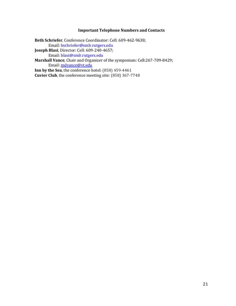#### **Important Telephone Numbers and Contacts**

**Beth Schriefer**, Conference Coordinator: Cell: 609-462-9638; Email: bschriefer@smlr.rutgers.edu **Joseph Blasi**, Director: Cell: 609-240-4657; Email: blasi@smlr.rutgers.edu **Marshall Vance**, Chair and Organizer of the symposium: Cell:267-709-8429; Email: [mdvance@vt.edu](mailto:mdvance@vt.edu) **Inn by the Sea**, the conference hotel: (858) 459-4461 **Cuvier Club**, the conference meeting site: (858) 367-7748